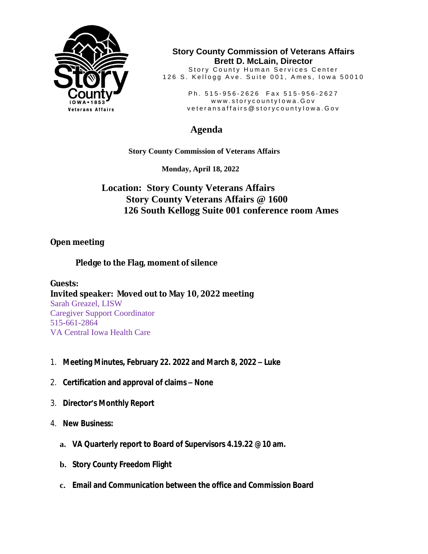

**Story County Commission of Veterans Affairs Brett D. McLain, Director**

Story County Human Services Center 126 S. Kellogg Ave. Suite 001, Ames, Iowa 50010

> Ph. 515-956-2626 Fax 515-956-2627 www.storycountylowa.Gov v e t e r an s a f f a i r s @ s t o r y c o u n t y l o w a . G o v

## **Agenda**

 **Story County Commission of Veterans Affairs** 

 **Monday, April 18, 2022**

## **Location: Story County Veterans Affairs Story County Veterans Affairs @ 1600 126 South Kellogg Suite 001 conference room Ames**

## **Open meeting**

**Pledge to the Flag, moment of silence**

**Guests: Invited speaker: Moved out to May 10, 2022 meeting** Sarah Greazel, LISW Caregiver Support Coordinator 515-661-2864 VA Central Iowa Health Care

- 1. **Meeting Minutes, February 22. 2022 and March 8, 2022 – Luke**
- 2. **Certification and approval of claims – None**
- 3. **Director's Monthly Report**
- 4. **New Business:**
	- **a. VA Quarterly report to Board of Supervisors 4.19.22 @10 am.**
	- **b. Story County Freedom Flight**
	- **c. Email and Communication between the office and Commission Board**